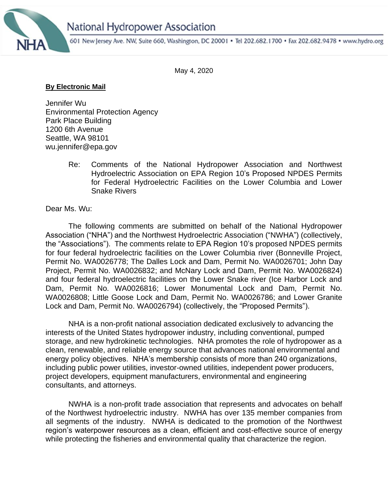



601 New Jersey Ave. NW, Suite 660, Washington, DC 20001 . Tel 202.682.1700 . Fax 202.682.9478 . www.hydro.org

May 4, 2020

## **By Electronic Mail**

Jennifer Wu Environmental Protection Agency Park Place Building 1200 6th Avenue Seattle, WA 98101 wu.jennifer@epa.gov

> Re: Comments of the National Hydropower Association and Northwest Hydroelectric Association on EPA Region 10's Proposed NPDES Permits for Federal Hydroelectric Facilities on the Lower Columbia and Lower Snake Rivers

Dear Ms. Wu:

The following comments are submitted on behalf of the National Hydropower Association ("NHA") and the Northwest Hydroelectric Association ("NWHA") (collectively, the "Associations"). The comments relate to EPA Region 10's proposed NPDES permits for four federal hydroelectric facilities on the Lower Columbia river (Bonneville Project, Permit No. WA0026778; The Dalles Lock and Dam, Permit No. WA0026701; John Day Project, Permit No. WA0026832; and McNary Lock and Dam, Permit No. WA0026824) and four federal hydroelectric facilities on the Lower Snake river (Ice Harbor Lock and Dam, Permit No. WA0026816; Lower Monumental Lock and Dam, Permit No. WA0026808; Little Goose Lock and Dam, Permit No. WA0026786; and Lower Granite Lock and Dam, Permit No. WA0026794) (collectively, the "Proposed Permits").

NHA is a non-profit national association dedicated exclusively to advancing the interests of the United States hydropower industry, including conventional, pumped storage, and new hydrokinetic technologies. NHA promotes the role of hydropower as a clean, renewable, and reliable energy source that advances national environmental and energy policy objectives. NHA's membership consists of more than 240 organizations, including public power utilities, investor-owned utilities, independent power producers, project developers, equipment manufacturers, environmental and engineering consultants, and attorneys.

NWHA is a non-profit trade association that represents and advocates on behalf of the Northwest hydroelectric industry. NWHA has over 135 member companies from all segments of the industry. NWHA is dedicated to the promotion of the Northwest region's waterpower resources as a clean, efficient and cost-effective source of energy while protecting the fisheries and environmental quality that characterize the region.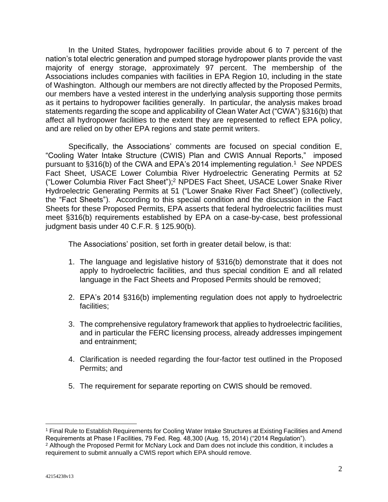In the United States, hydropower facilities provide about 6 to 7 percent of the nation's total electric generation and pumped storage hydropower plants provide the vast majority of energy storage, approximately 97 percent. The membership of the Associations includes companies with facilities in EPA Region 10, including in the state of Washington. Although our members are not directly affected by the Proposed Permits, our members have a vested interest in the underlying analysis supporting those permits as it pertains to hydropower facilities generally. In particular, the analysis makes broad statements regarding the scope and applicability of Clean Water Act ("CWA") §316(b) that affect all hydropower facilities to the extent they are represented to reflect EPA policy, and are relied on by other EPA regions and state permit writers.

Specifically, the Associations' comments are focused on special condition E, "Cooling Water Intake Structure (CWIS) Plan and CWIS Annual Reports," imposed pursuant to §316(b) of the CWA and EPA's 2014 implementing regulation.<sup>1</sup> *See* NPDES Fact Sheet, USACE Lower Columbia River Hydroelectric Generating Permits at 52 ("Lower Columbia River Fact Sheet"); <sup>2</sup> NPDES Fact Sheet, USACE Lower Snake River Hydroelectric Generating Permits at 51 ("Lower Snake River Fact Sheet") (collectively, the "Fact Sheets"). According to this special condition and the discussion in the Fact Sheets for these Proposed Permits, EPA asserts that federal hydroelectric facilities must meet §316(b) requirements established by EPA on a case-by-case, best professional judgment basis under 40 C.F.R. § 125.90(b).

The Associations' position, set forth in greater detail below, is that:

- 1. The language and legislative history of §316(b) demonstrate that it does not apply to hydroelectric facilities, and thus special condition E and all related language in the Fact Sheets and Proposed Permits should be removed;
- 2. EPA's 2014 §316(b) implementing regulation does not apply to hydroelectric facilities;
- 3. The comprehensive regulatory framework that applies to hydroelectric facilities, and in particular the FERC licensing process, already addresses impingement and entrainment;
- 4. Clarification is needed regarding the four-factor test outlined in the Proposed Permits; and
- 5. The requirement for separate reporting on CWIS should be removed.

<sup>1</sup> Final Rule to Establish Requirements for Cooling Water Intake Structures at Existing Facilities and Amend Requirements at Phase I Facilities, 79 Fed. Reg. 48,300 (Aug. 15, 2014) ("2014 Regulation").

<sup>&</sup>lt;sup>2</sup> Although the Proposed Permit for McNary Lock and Dam does not include this condition, it includes a requirement to submit annually a CWIS report which EPA should remove.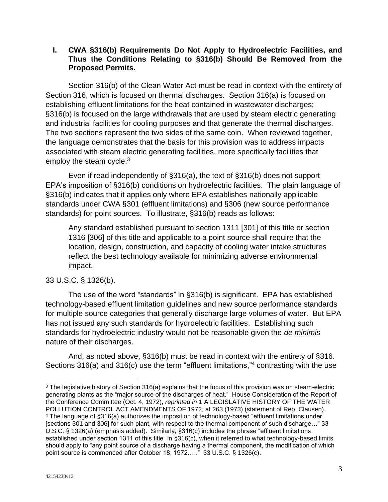## **I. CWA §316(b) Requirements Do Not Apply to Hydroelectric Facilities, and Thus the Conditions Relating to §316(b) Should Be Removed from the Proposed Permits.**

Section 316(b) of the Clean Water Act must be read in context with the entirety of Section 316, which is focused on thermal discharges. Section 316(a) is focused on establishing effluent limitations for the heat contained in wastewater discharges; §316(b) is focused on the large withdrawals that are used by steam electric generating and industrial facilities for cooling purposes and that generate the thermal discharges. The two sections represent the two sides of the same coin. When reviewed together, the language demonstrates that the basis for this provision was to address impacts associated with steam electric generating facilities, more specifically facilities that employ the steam cycle. $3$ 

Even if read independently of §316(a), the text of §316(b) does not support EPA's imposition of §316(b) conditions on hydroelectric facilities. The plain language of §316(b) indicates that it applies only where EPA establishes nationally applicable standards under CWA §301 (effluent limitations) and §306 (new source performance standards) for point sources. To illustrate, §316(b) reads as follows:

Any standard established pursuant to section 1311 [301] of this title or section 1316 [306] of this title and applicable to a point source shall require that the location, design, construction, and capacity of cooling water intake structures reflect the best technology available for minimizing adverse environmental impact.

## 33 U.S.C. § 1326(b).

The use of the word "standards" in §316(b) is significant. EPA has established technology-based effluent limitation guidelines and new source performance standards for multiple source categories that generally discharge large volumes of water. But EPA has not issued any such standards for hydroelectric facilities. Establishing such standards for hydroelectric industry would not be reasonable given the *de minimis* nature of their discharges.

And, as noted above, §316(b) must be read in context with the entirety of §316. Sections 316(a) and 316(c) use the term "effluent limitations,"<sup>4</sup> contrasting with the use

<sup>&</sup>lt;sup>3</sup> The legislative history of Section 316(a) explains that the focus of this provision was on steam-electric generating plants as the "major source of the discharges of heat." House Consideration of the Report of the Conference Committee (Oct. 4, 1972), *reprinted in* 1 A LEGISLATIVE HISTORY OF THE WATER POLLUTION CONTROL ACT AMENDMENTS OF 1972, at 263 (1973) (statement of Rep. Clausen). <sup>4</sup> The language of §316(a) authorizes the imposition of technology-based "effluent limitations under [sections 301 and 306] for such plant, with respect to the thermal component of such discharge…" 33 U.S.C. § 1326(a) (emphasis added). Similarly, §316(c) includes the phrase "effluent limitations established under section 1311 of this title" in §316(c), when it referred to what technology-based limits should apply to "any point source of a discharge having a thermal component, the modification of which point source is commenced after October 18, 1972... ." 33 U.S.C. § 1326(c).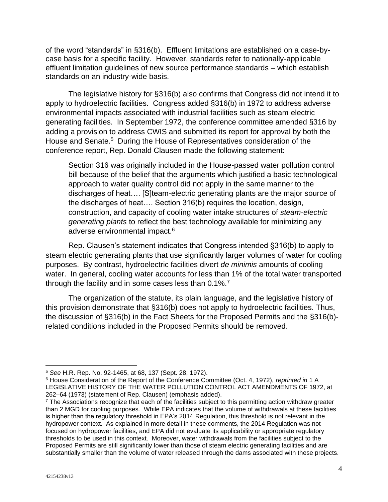of the word "standards" in §316(b). Effluent limitations are established on a case-bycase basis for a specific facility. However, standards refer to nationally-applicable effluent limitation guidelines of new source performance standards – which establish standards on an industry-wide basis.

The legislative history for §316(b) also confirms that Congress did not intend it to apply to hydroelectric facilities. Congress added §316(b) in 1972 to address adverse environmental impacts associated with industrial facilities such as steam electric generating facilities. In September 1972, the conference committee amended §316 by adding a provision to address CWIS and submitted its report for approval by both the House and Senate.<sup>5</sup> During the House of Representatives consideration of the conference report, Rep. Donald Clausen made the following statement:

Section 316 was originally included in the House-passed water pollution control bill because of the belief that the arguments which justified a basic technological approach to water quality control did not apply in the same manner to the discharges of heat…. [S]team-electric generating plants are the major source of the discharges of heat…. Section 316(b) requires the location, design, construction, and capacity of cooling water intake structures of *steam-electric generating plants* to reflect the best technology available for minimizing any adverse environmental impact.<sup>6</sup>

Rep. Clausen's statement indicates that Congress intended §316(b) to apply to steam electric generating plants that use significantly larger volumes of water for cooling purposes. By contrast, hydroelectric facilities divert *de minimis* amounts of cooling water. In general, cooling water accounts for less than 1% of the total water transported through the facility and in some cases less than 0.1%.<sup>7</sup>

The organization of the statute, its plain language, and the legislative history of this provision demonstrate that §316(b) does not apply to hydroelectric facilities. Thus, the discussion of §316(b) in the Fact Sheets for the Proposed Permits and the §316(b) related conditions included in the Proposed Permits should be removed.

<sup>5</sup> *See* H.R. Rep. No. 92-1465, at 68, 137 (Sept. 28, 1972).

<sup>6</sup> House Consideration of the Report of the Conference Committee (Oct. 4, 1972), *reprinted in* 1 A LEGISLATIVE HISTORY OF THE WATER POLLUTION CONTROL ACT AMENDMENTS OF 1972, at 262–64 (1973) (statement of Rep. Clausen) (emphasis added).

<sup>&</sup>lt;sup>7</sup> The Associations recognize that each of the facilities subject to this permitting action withdraw greater than 2 MGD for cooling purposes. While EPA indicates that the volume of withdrawals at these facilities is higher than the regulatory threshold in EPA's 2014 Regulation, this threshold is not relevant in the hydropower context. As explained in more detail in these comments, the 2014 Regulation was not focused on hydropower facilities, and EPA did not evaluate its applicability or appropriate regulatory thresholds to be used in this context. Moreover, water withdrawals from the facilities subject to the Proposed Permits are still significantly lower than those of steam electric generating facilities and are substantially smaller than the volume of water released through the dams associated with these projects.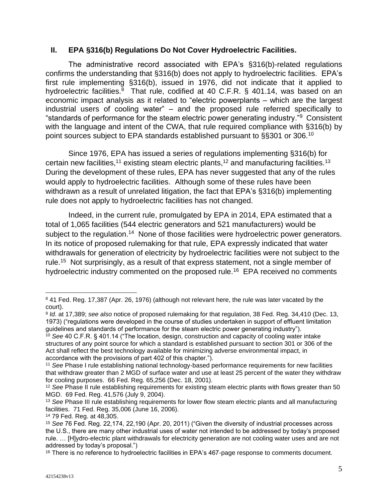## **II. EPA §316(b) Regulations Do Not Cover Hydroelectric Facilities.**

The administrative record associated with EPA's §316(b)-related regulations confirms the understanding that §316(b) does not apply to hydroelectric facilities. EPA's first rule implementing §316(b), issued in 1976, did not indicate that it applied to hydroelectric facilities. $8$  That rule, codified at 40 C.F.R. § 401.14, was based on an economic impact analysis as it related to "electric powerplants – which are the largest industrial users of cooling water" – and the proposed rule referred specifically to "standards of performance for the steam electric power generating industry."<sup>9</sup> Consistent with the language and intent of the CWA, that rule required compliance with §316(b) by point sources subject to EPA standards established pursuant to §§301 or 306.<sup>10</sup>

Since 1976, EPA has issued a series of regulations implementing §316(b) for certain new facilities,<sup>11</sup> existing steam electric plants,<sup>12</sup> and manufacturing facilities.<sup>13</sup> During the development of these rules, EPA has never suggested that any of the rules would apply to hydroelectric facilities. Although some of these rules have been withdrawn as a result of unrelated litigation, the fact that EPA's §316(b) implementing rule does not apply to hydroelectric facilities has not changed.

Indeed, in the current rule, promulgated by EPA in 2014, EPA estimated that a total of 1,065 facilities (544 electric generators and 521 manufacturers) would be subject to the regulation.<sup>14</sup> None of those facilities were hydroelectric power generators. In its notice of proposed rulemaking for that rule, EPA expressly indicated that water withdrawals for generation of electricity by hydroelectric facilities were not subject to the rule.<sup>15</sup> Not surprisingly, as a result of that express statement, not a single member of hydroelectric industry commented on the proposed rule.<sup>16</sup> EPA received no comments

<sup>8</sup> 41 Fed. Reg. 17,387 (Apr. 26, 1976) (although not relevant here, the rule was later vacated by the court).

<sup>9</sup> *Id*. at 17,389; *see also* notice of proposed rulemaking for that regulation, 38 Fed. Reg. 34,410 (Dec. 13, 1973) ("regulations were developed in the course of studies undertaken in support of effluent limitation guidelines and standards of performance for the steam electric power generating industry").

<sup>10</sup> *See* 40 C.F.R. § 401.14 ("The location, design, construction and capacity of cooling water intake structures of any point source for which a standard is established pursuant to section 301 or 306 of the Act shall reflect the best technology available for minimizing adverse environmental impact, in accordance with the provisions of part 402 of this chapter.").

<sup>11</sup> *See* Phase I rule establishing national technology-based performance requirements for new facilities that withdraw greater than 2 MGD of surface water and use at least 25 percent of the water they withdraw for cooling purposes. 66 Fed. Reg. 65,256 (Dec. 18, 2001).

<sup>&</sup>lt;sup>12</sup> See Phase II rule establishing requirements for existing steam electric plants with flows greater than 50 MGD. 69 Fed. Reg. 41,576 (July 9, 2004).

<sup>13</sup> *See* Phase III rule establishing requirements for lower flow steam electric plants and all manufacturing facilities. 71 Fed. Reg. 35,006 (June 16, 2006).

<sup>14</sup> 79 Fed. Reg. at 48,305.

<sup>15</sup> *See* 76 Fed. Reg. 22,174, 22,190 (Apr. 20, 2011) ("Given the diversity of industrial processes across the U.S., there are many other industrial uses of water not intended to be addressed by today's proposed rule. … [H]ydro-electric plant withdrawals for electricity generation are not cooling water uses and are not addressed by today's proposal.")

<sup>&</sup>lt;sup>16</sup> There is no reference to hydroelectric facilities in EPA's 467-page response to comments document.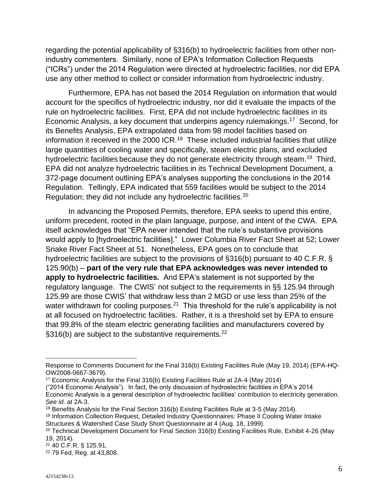regarding the potential applicability of §316(b) to hydroelectric facilities from other nonindustry commenters. Similarly, none of EPA's Information Collection Requests ("ICRs") under the 2014 Regulation were directed at hydroelectric facilities, nor did EPA use any other method to collect or consider information from hydroelectric industry.

Furthermore, EPA has not based the 2014 Regulation on information that would account for the specifics of hydroelectric industry, nor did it evaluate the impacts of the rule on hydroelectric facilities. First, EPA did not include hydroelectric facilities in its Economic Analysis, a key document that underpins agency rulemakings.<sup>17</sup> Second, for its Benefits Analysis, EPA extrapolated data from 98 model facilities based on information it received in the 2000 ICR.<sup>18</sup> These included industrial facilities that utilize large quantities of cooling water and specifically, steam electric plans, and excluded hydroelectric facilities because they do not generate electricity through steam.<sup>19</sup> Third, EPA did not analyze hydroelectric facilities in its Technical Development Document, a 372-page document outlining EPA's analyses supporting the conclusions in the 2014 Regulation. Tellingly, EPA indicated that 559 facilities would be subject to the 2014 Regulation; they did not include any hydroelectric facilities.<sup>20</sup>

In advancing the Proposed Permits, therefore, EPA seeks to upend this entire, uniform precedent, rooted in the plain language, purpose, and intent of the CWA. EPA itself acknowledges that "EPA never intended that the rule's substantive provisions would apply to [hydroelectric facilities]." Lower Columbia River Fact Sheet at 52; Lower Snake River Fact Sheet at 51. Nonetheless, EPA goes on to conclude that hydroelectric facilities are subject to the provisions of §316(b) pursuant to 40 C.F.R. § 125.90(b) – **part of the very rule that EPA acknowledges was never intended to apply to hydroelectric facilities.** And EPA's statement is not supported by the regulatory language. The CWIS' not subject to the requirements in §§ 125.94 through 125.99 are those CWIS' that withdraw less than 2 MGD or use less than 25% of the water withdrawn for cooling purposes.<sup>21</sup> This threshold for the rule's applicability is not at all focused on hydroelectric facilities. Rather, it is a threshold set by EPA to ensure that 99.8% of the steam electric generating facilities and manufacturers covered by  $\S316(b)$  are subject to the substantive requirements.<sup>22</sup>

<sup>19</sup> Information Collection Request, Detailed Industry Questionnaires: Phase II Cooling Water Intake Structures & Watershed Case Study Short Questionnaire at 4 (Aug. 18, 1999).

Response to Comments Document for the Final 316(b) Existing Facilities Rule (May 19, 2014) (EPA-HQ-OW2008-0667-3679).

<sup>17</sup> Economic Analysis for the Final 316(b) Existing Facilities Rule at 2A-4 (May 2014)

<sup>(&</sup>quot;2014 Economic Analysis"). In fact, the only discussion of hydroelectric facilities in EPA's 2014 Economic Analysis is a general description of hydroelectric facilities' contribution to electricity generation. *See id*. at 2A-3.

<sup>&</sup>lt;sup>18</sup> Benefits Analysis for the Final Section 316(b) Existing Facilities Rule at 3-5 (May 2014).

<sup>&</sup>lt;sup>20</sup> Technical Development Document for Final Section 316(b) Existing Facilities Rule, Exhibit 4-26 (May 19, 2014).

<sup>21</sup> 40 C.F.R. § 125.91.

<sup>22</sup> 79 Fed. Reg. at 43,808.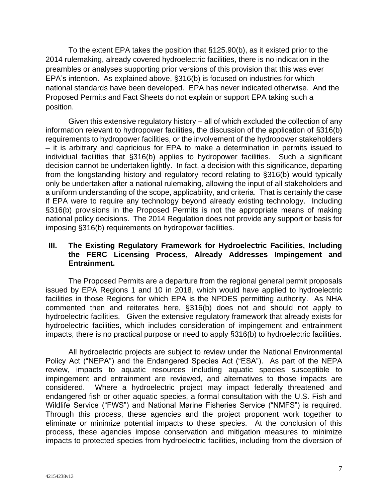To the extent EPA takes the position that §125.90(b), as it existed prior to the 2014 rulemaking, already covered hydroelectric facilities, there is no indication in the preambles or analyses supporting prior versions of this provision that this was ever EPA's intention. As explained above, §316(b) is focused on industries for which national standards have been developed. EPA has never indicated otherwise. And the Proposed Permits and Fact Sheets do not explain or support EPA taking such a position.

Given this extensive regulatory history – all of which excluded the collection of any information relevant to hydropower facilities, the discussion of the application of §316(b) requirements to hydropower facilities, or the involvement of the hydropower stakeholders – it is arbitrary and capricious for EPA to make a determination in permits issued to individual facilities that §316(b) applies to hydropower facilities. Such a significant decision cannot be undertaken lightly. In fact, a decision with this significance, departing from the longstanding history and regulatory record relating to §316(b) would typically only be undertaken after a national rulemaking, allowing the input of all stakeholders and a uniform understanding of the scope, applicability, and criteria. That is certainly the case if EPA were to require any technology beyond already existing technology. Including §316(b) provisions in the Proposed Permits is not the appropriate means of making national policy decisions. The 2014 Regulation does not provide any support or basis for imposing §316(b) requirements on hydropower facilities.

## **III. The Existing Regulatory Framework for Hydroelectric Facilities, Including the FERC Licensing Process, Already Addresses Impingement and Entrainment.**

The Proposed Permits are a departure from the regional general permit proposals issued by EPA Regions 1 and 10 in 2018, which would have applied to hydroelectric facilities in those Regions for which EPA is the NPDES permitting authority. As NHA commented then and reiterates here, §316(b) does not and should not apply to hydroelectric facilities. Given the extensive regulatory framework that already exists for hydroelectric facilities, which includes consideration of impingement and entrainment impacts, there is no practical purpose or need to apply §316(b) to hydroelectric facilities.

All hydroelectric projects are subject to review under the National Environmental Policy Act ("NEPA") and the Endangered Species Act ("ESA"). As part of the NEPA review, impacts to aquatic resources including aquatic species susceptible to impingement and entrainment are reviewed, and alternatives to those impacts are considered. Where a hydroelectric project may impact federally threatened and endangered fish or other aquatic species, a formal consultation with the U.S. Fish and Wildlife Service ("FWS") and National Marine Fisheries Service ("NMFS") is required. Through this process, these agencies and the project proponent work together to eliminate or minimize potential impacts to these species. At the conclusion of this process, these agencies impose conservation and mitigation measures to minimize impacts to protected species from hydroelectric facilities, including from the diversion of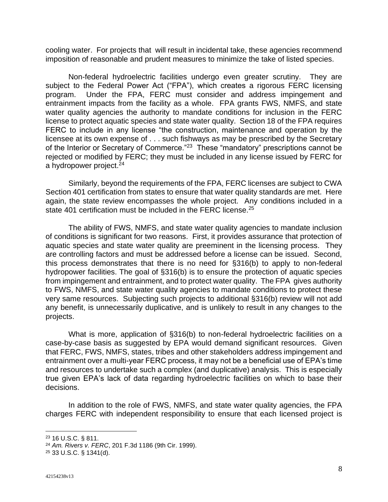cooling water. For projects that will result in incidental take, these agencies recommend imposition of reasonable and prudent measures to minimize the take of listed species.

Non-federal hydroelectric facilities undergo even greater scrutiny. They are subject to the Federal Power Act ("FPA"), which creates a rigorous FERC licensing program. Under the FPA, FERC must consider and address impingement and entrainment impacts from the facility as a whole. FPA grants FWS, NMFS, and state water quality agencies the authority to mandate conditions for inclusion in the FERC license to protect aquatic species and state water quality. Section 18 of the FPA requires FERC to include in any license "the construction, maintenance and operation by the licensee at its own expense of . . . such fishways as may be prescribed by the Secretary of the Interior or Secretary of Commerce."<sup>23</sup> These "mandatory" prescriptions cannot be rejected or modified by FERC; they must be included in any license issued by FERC for a hydropower project.<sup>24</sup>

Similarly, beyond the requirements of the FPA, FERC licenses are subject to CWA Section 401 certification from states to ensure that water quality standards are met. Here again, the state review encompasses the whole project. Any conditions included in a state 401 certification must be included in the FERC license.<sup>25</sup>

The ability of FWS, NMFS, and state water quality agencies to mandate inclusion of conditions is significant for two reasons. First, it provides assurance that protection of aquatic species and state water quality are preeminent in the licensing process. They are controlling factors and must be addressed before a license can be issued. Second, this process demonstrates that there is no need for §316(b) to apply to non-federal hydropower facilities. The goal of §316(b) is to ensure the protection of aquatic species from impingement and entrainment, and to protect water quality. The FPA gives authority to FWS, NMFS, and state water quality agencies to mandate conditions to protect these very same resources. Subjecting such projects to additional §316(b) review will not add any benefit, is unnecessarily duplicative, and is unlikely to result in any changes to the projects.

What is more, application of §316(b) to non-federal hydroelectric facilities on a case-by-case basis as suggested by EPA would demand significant resources. Given that FERC, FWS, NMFS, states, tribes and other stakeholders address impingement and entrainment over a multi-year FERC process, it may not be a beneficial use of EPA's time and resources to undertake such a complex (and duplicative) analysis. This is especially true given EPA's lack of data regarding hydroelectric facilities on which to base their decisions.

In addition to the role of FWS, NMFS, and state water quality agencies, the FPA charges FERC with independent responsibility to ensure that each licensed project is

<sup>25</sup> 33 U.S.C. § 1341(d).

<sup>23</sup> 16 U.S.C. § 811.

<sup>24</sup> *Am. Rivers v. FERC*, 201 F.3d 1186 (9th Cir. 1999).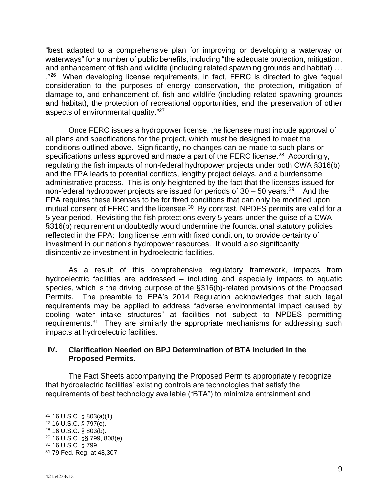"best adapted to a comprehensive plan for improving or developing a waterway or waterways" for a number of public benefits, including "the adequate protection, mitigation, and enhancement of fish and wildlife (including related spawning grounds and habitat) … ."<sup>26</sup> When developing license requirements, in fact, FERC is directed to give "equal consideration to the purposes of energy conservation, the protection, mitigation of damage to, and enhancement of, fish and wildlife (including related spawning grounds and habitat), the protection of recreational opportunities, and the preservation of other aspects of environmental quality."<sup>27</sup>

Once FERC issues a hydropower license, the licensee must include approval of all plans and specifications for the project, which must be designed to meet the conditions outlined above. Significantly, no changes can be made to such plans or specifications unless approved and made a part of the FERC license.<sup>28</sup> Accordingly, regulating the fish impacts of non-federal hydropower projects under both CWA §316(b) and the FPA leads to potential conflicts, lengthy project delays, and a burdensome administrative process. This is only heightened by the fact that the licenses issued for non-federal hydropower projects are issued for periods of  $30 - 50$  years.<sup>29</sup> And the FPA requires these licenses to be for fixed conditions that can only be modified upon mutual consent of FERC and the licensee.<sup>30</sup> By contrast, NPDES permits are valid for a 5 year period. Revisiting the fish protections every 5 years under the guise of a CWA §316(b) requirement undoubtedly would undermine the foundational statutory policies reflected in the FPA: long license term with fixed condition, to provide certainty of investment in our nation's hydropower resources. It would also significantly disincentivize investment in hydroelectric facilities.

As a result of this comprehensive regulatory framework, impacts from hydroelectric facilities are addressed – including and especially impacts to aquatic species, which is the driving purpose of the §316(b)-related provisions of the Proposed Permits. The preamble to EPA's 2014 Regulation acknowledges that such legal requirements may be applied to address "adverse environmental impact caused by cooling water intake structures" at facilities not subject to NPDES permitting requirements.<sup>31</sup> They are similarly the appropriate mechanisms for addressing such impacts at hydroelectric facilities.

## **IV. Clarification Needed on BPJ Determination of BTA Included in the Proposed Permits.**

The Fact Sheets accompanying the Proposed Permits appropriately recognize that hydroelectric facilities' existing controls are technologies that satisfy the requirements of best technology available ("BTA") to minimize entrainment and

<sup>26</sup> 16 U.S.C. § 803(a)(1).

<sup>27</sup> 16 U.S.C. § 797(e).

<sup>28</sup> 16 U.S.C. § 803(b).

<sup>29</sup> 16 U.S.C. §§ 799, 808(e).

<sup>30</sup> 16 U.S.C. § 799.

<sup>31</sup> 79 Fed. Reg. at 48,307.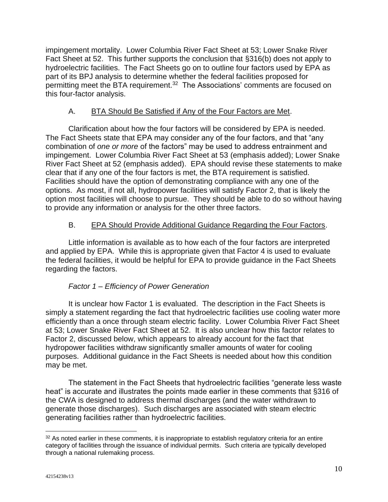impingement mortality. Lower Columbia River Fact Sheet at 53; Lower Snake River Fact Sheet at 52. This further supports the conclusion that §316(b) does not apply to hydroelectric facilities. The Fact Sheets go on to outline four factors used by EPA as part of its BPJ analysis to determine whether the federal facilities proposed for permitting meet the BTA requirement.<sup>32</sup> The Associations' comments are focused on this four-factor analysis.

# A. BTA Should Be Satisfied if Any of the Four Factors are Met.

Clarification about how the four factors will be considered by EPA is needed. The Fact Sheets state that EPA may consider any of the four factors, and that "any combination of *one or more* of the factors" may be used to address entrainment and impingement. Lower Columbia River Fact Sheet at 53 (emphasis added); Lower Snake River Fact Sheet at 52 (emphasis added). EPA should revise these statements to make clear that if any one of the four factors is met, the BTA requirement is satisfied. Facilities should have the option of demonstrating compliance with any one of the options. As most, if not all, hydropower facilities will satisfy Factor 2, that is likely the option most facilities will choose to pursue. They should be able to do so without having to provide any information or analysis for the other three factors.

# B. EPA Should Provide Additional Guidance Regarding the Four Factors.

Little information is available as to how each of the four factors are interpreted and applied by EPA. While this is appropriate given that Factor 4 is used to evaluate the federal facilities, it would be helpful for EPA to provide guidance in the Fact Sheets regarding the factors.

## *Factor 1 – Efficiency of Power Generation*

It is unclear how Factor 1 is evaluated. The description in the Fact Sheets is simply a statement regarding the fact that hydroelectric facilities use cooling water more efficiently than a once through steam electric facility. Lower Columbia River Fact Sheet at 53; Lower Snake River Fact Sheet at 52. It is also unclear how this factor relates to Factor 2, discussed below, which appears to already account for the fact that hydropower facilities withdraw significantly smaller amounts of water for cooling purposes. Additional guidance in the Fact Sheets is needed about how this condition may be met.

The statement in the Fact Sheets that hydroelectric facilities "generate less waste heat" is accurate and illustrates the points made earlier in these comments that §316 of the CWA is designed to address thermal discharges (and the water withdrawn to generate those discharges). Such discharges are associated with steam electric generating facilities rather than hydroelectric facilities.

<sup>&</sup>lt;sup>32</sup> As noted earlier in these comments, it is inappropriate to establish regulatory criteria for an entire category of facilities through the issuance of individual permits. Such criteria are typically developed through a national rulemaking process.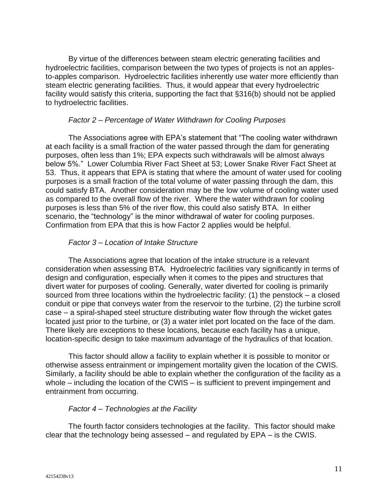By virtue of the differences between steam electric generating facilities and hydroelectric facilities, comparison between the two types of projects is not an applesto-apples comparison. Hydroelectric facilities inherently use water more efficiently than steam electric generating facilities. Thus, it would appear that every hydroelectric facility would satisfy this criteria, supporting the fact that §316(b) should not be applied to hydroelectric facilities.

### *Factor 2 – Percentage of Water Withdrawn for Cooling Purposes*

The Associations agree with EPA's statement that "The cooling water withdrawn at each facility is a small fraction of the water passed through the dam for generating purposes, often less than 1%; EPA expects such withdrawals will be almost always below 5%." Lower Columbia River Fact Sheet at 53; Lower Snake River Fact Sheet at 53. Thus, it appears that EPA is stating that where the amount of water used for cooling purposes is a small fraction of the total volume of water passing through the dam, this could satisfy BTA. Another consideration may be the low volume of cooling water used as compared to the overall flow of the river. Where the water withdrawn for cooling purposes is less than 5% of the river flow, this could also satisfy BTA. In either scenario, the "technology" is the minor withdrawal of water for cooling purposes. Confirmation from EPA that this is how Factor 2 applies would be helpful.

#### *Factor 3 – Location of Intake Structure*

The Associations agree that location of the intake structure is a relevant consideration when assessing BTA. Hydroelectric facilities vary significantly in terms of design and configuration, especially when it comes to the pipes and structures that divert water for purposes of cooling. Generally, water diverted for cooling is primarily sourced from three locations within the hydroelectric facility: (1) the penstock – a closed conduit or pipe that conveys water from the reservoir to the turbine, (2) the turbine scroll case – a spiral-shaped steel structure distributing water flow through the wicket gates located just prior to the turbine, or (3) a water inlet port located on the face of the dam. There likely are exceptions to these locations, because each facility has a unique, location-specific design to take maximum advantage of the hydraulics of that location.

This factor should allow a facility to explain whether it is possible to monitor or otherwise assess entrainment or impingement mortality given the location of the CWIS. Similarly, a facility should be able to explain whether the configuration of the facility as a whole – including the location of the CWIS – is sufficient to prevent impingement and entrainment from occurring.

### *Factor 4 – Technologies at the Facility*

The fourth factor considers technologies at the facility. This factor should make clear that the technology being assessed – and regulated by EPA – is the CWIS.